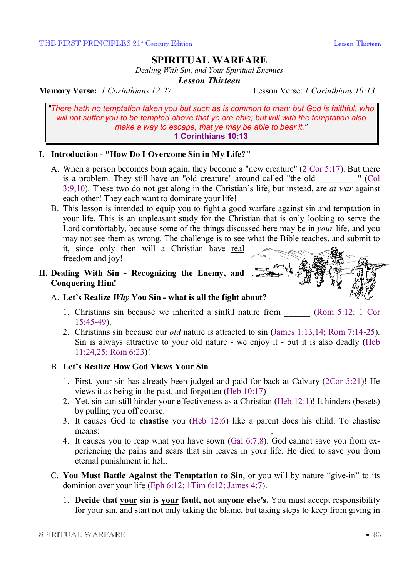# **SPIRITUAL WARFARE**

*Dealing With Sin, and Your Spiritual Enemies* 

*Lesson Thirteen* 

**Memory Verse:** *1 Corinthians 12:27* Lesson Verse: *1 Corinthians 10:13*

*"There hath no temptation taken you but such as is common to man: but God is faithful, who will not suffer you to be tempted above that ye are able; but will with the temptation also make a way to escape, that ye may be able to bear it."*  **1 Corinthians 10:13**

# **I. Introduction - "How Do I Overcome Sin in My Life?"**

- A. When a person becomes born again, they become a "new creature" (2 Cor 5:17). But there is a problem. They still have an "old creature" around called "the old  $\blacksquare$  (Col 3:9,10). These two do not get along in the Christian's life, but instead, are *at war* against each other! They each want to dominate your life!
- B. This lesson is intended to equip you to fight a good warfare against sin and temptation in your life. This is an unpleasant study for the Christian that is only looking to serve the Lord comfortably, because some of the things discussed here may be in *your* life, and you may not see them as wrong. The challenge is to see what the Bible teaches, and submit to it, since only then will a Christian have real freedom and joy!

### **II. Dealing With Sin - Recognizing the Enemy, and Conquering Him!**

# A. **Let's Realize** *Why* **You Sin - what is all the fight about?**

1. Christians sin because we inherited a sinful nature from (Rom 5:12; 1 Cor 15:45-49).

 $\tilde{F}$ 

2. Christians sin because our *old* nature is attracted to sin (James 1:13,14; Rom 7:14-25). Sin is always attractive to your old nature - we enjoy it - but it is also deadly (Heb 11:24,25; Rom 6:23)!

# B. **Let's Realize How God Views Your Sin**

- 1. First, your sin has already been judged and paid for back at Calvary (2Cor 5:21)! He views it as being in the past, and forgotten (Heb 10:17)
- 2. Yet, sin can still hinder your effectiveness as a Christian (Heb 12:1)! It hinders (besets) by pulling you off course.
- 3. It causes God to **chastise** you (Heb 12:6) like a parent does his child. To chastise means:
- 4. It causes you to reap what you have sown (Gal 6:7,8). God cannot save you from experiencing the pains and scars that sin leaves in your life. He died to save you from eternal punishment in hell.
- C. **You Must Battle Against the Temptation to Sin**, or you will by nature "give-in" to its dominion over your life (Eph 6:12; 1Tim 6:12; James 4:7).
	- 1. **Decide that your sin is your fault, not anyone else's.** You must accept responsibility for your sin, and start not only taking the blame, but taking steps to keep from giving in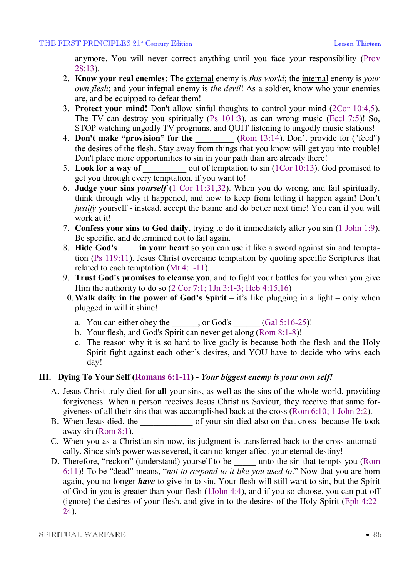anymore. You will never correct anything until you face your responsibility (Prov 28:13).

- 2. **Know your real enemies:** The external enemy is *this world*; the internal enemy is *your own flesh*; and your infernal enemy is *the devil*! As a soldier, know who your enemies are, and be equipped to defeat them!
- 3. **Protect your mind!** Don't allow sinful thoughts to control your mind (2Cor 10:4,5). The TV can destroy you spiritually (Ps 101:3), as can wrong music (Eccl 7:5)! So, STOP watching ungodly TV programs, and QUIT listening to ungodly music stations!
- 4. **Don't make "provision" for the** (Rom 13:14). Don't provide for ("feed") the desires of the flesh. Stay away from things that you know will get you into trouble! Don't place more opportunities to sin in your path than are already there!
- 5. **Look for a way of** \_\_\_\_\_\_\_\_\_\_ out of temptation to sin (1Cor 10:13). God promised to get you through every temptation, if you want to!
- 6. **Judge your sins** *yourself* (1 Cor 11:31,32). When you do wrong, and fail spiritually, think through why it happened, and how to keep from letting it happen again! Don't *justify* yourself - instead, accept the blame and do better next time! You can if you will work at it!
- 7. **Confess your sins to God daily**, trying to do it immediately after you sin (1 John 1:9). Be specific, and determined not to fail again.
- 8. **Hide God's** \_\_\_\_ **in your heart** so you can use it like a sword against sin and temptation (Ps 119:11). Jesus Christ overcame temptation by quoting specific Scriptures that related to each temptation (Mt 4:1-11).
- 9. **Trust God's promises to cleanse you**, and to fight your battles for you when you give Him the authority to do so (2 Cor 7:1; 1Jn 3:1-3; Heb 4:15,16)
- 10. **Walk daily in the power of God's Spirit** it's like plugging in a light only when plugged in will it shine!
	- a. You can either obey the \_\_\_\_\_, or God's  $\qquad$  (Gal 5:16-25)!
	- b. Your flesh, and God's Spirit can never get along (Rom 8:1-8)!
	- c. The reason why it is so hard to live godly is because both the flesh and the Holy Spirit fight against each other's desires, and YOU have to decide who wins each day!

# **III. Dying To Your Self (Romans 6:1-11) -** *Your biggest enemy is your own self!*

- A. Jesus Christ truly died for **all** your sins, as well as the sins of the whole world, providing forgiveness. When a person receives Jesus Christ as Saviour, they receive that same forgiveness of all their sins that was accomplished back at the cross (Rom 6:10; 1 John 2:2).
- B. When Jesus died, the of your sin died also on that cross because He took away sin (Rom 8:1).
- C. When you as a Christian sin now, its judgment is transferred back to the cross automatically. Since sin's power was severed, it can no longer affect your eternal destiny!
- D. Therefore, "reckon" (understand) yourself to be \_\_\_\_\_ unto the sin that tempts you (Rom 6:11)! To be "dead" means, "*not to respond to it like you used to*." Now that you are born again, you no longer *have* to give-in to sin. Your flesh will still want to sin, but the Spirit of God in you is greater than your flesh (1John 4:4), and if you so choose, you can put-off (ignore) the desires of your flesh, and give-in to the desires of the Holy Spirit (Eph 4:22- 24).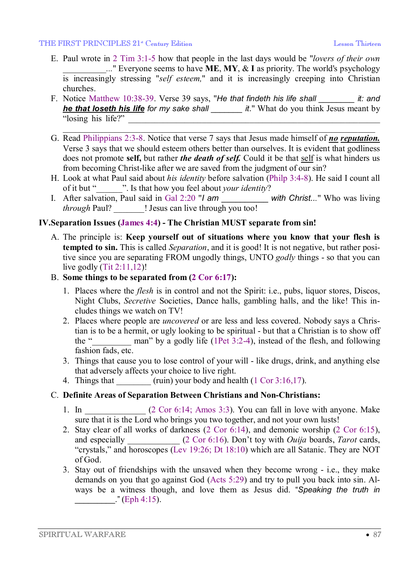#### THE FIRST PRINCIPLES 21<sup>\*</sup> Century Edition **Lesson Thirteen** Lesson Thirteen

- E. Paul wrote in 2 Tim 3:1-5 how that people in the last days would be "*lovers of their own \_\_\_\_\_\_\_\_\_\_...*" Everyone seems to have **ME**, **MY**, & **I** as priority. The world's psychology is increasingly stressing "*self esteem,*" and it is increasingly creeping into Christian churches.
- F. Notice Matthew 10:38-39. Verse 39 says, "*He that findeth his life shall \_\_\_\_\_\_\_\_ it: and he that loseth his life for my sake shall \_\_\_\_\_\_\_ it*." What do you think Jesus meant by "losing his life?" \_\_\_\_\_\_\_\_\_\_\_\_\_\_\_\_\_\_\_\_\_\_\_\_\_\_\_\_\_\_\_\_\_\_\_\_\_\_\_\_\_\_\_\_\_\_\_\_\_\_\_\_\_\_\_\_\_\_

 $\overline{\phantom{a}}$  , and the contribution of the contribution of the contribution of the contribution of the contribution of the contribution of the contribution of the contribution of the contribution of the contribution of the

- G. Read Philippians 2:3-8. Notice that verse 7 says that Jesus made himself of *no reputation.* Verse 3 says that we should esteem others better than ourselves. It is evident that godliness does not promote **self,** but rather *the death of self.* Could it be that self is what hinders us from becoming Christ-like after we are saved from the judgment of our sin?
- H. Look at what Paul said about *his identity* before salvation (Philp 3:4-8). He said I count all of it but "\_\_\_\_\_\_". Is that how you feel about *your identity*?
- I. After salvation, Paul said in Gal 2:20 "*I am* \_\_\_\_\_\_\_\_\_\_ *with Christ...*" Who was living *through* Paul? **We !** Jesus can live through you too!

# **IV.Separation Issues (James 4:4) - The Christian MUST separate from sin!**

A. The principle is: **Keep yourself out of situations where you know that your flesh is tempted to sin.** This is called *Separation*, and it is good! It is not negative, but rather positive since you are separating FROM ungodly things, UNTO *godly* things - so that you can live godly  $(Tit 2:11, 12)!$ 

### B. **Some things to be separated from (2 Cor 6:17):**

- 1. Places where the *flesh* is in control and not the Spirit: i.e., pubs, liquor stores, Discos, Night Clubs, *Secretive* Societies, Dance halls, gambling halls, and the like! This includes things we watch on TV!
- 2. Places where people are *uncovered* or are less and less covered. Nobody says a Christian is to be a hermit, or ugly looking to be spiritual - but that a Christian is to show off the " $\ldots$  man" by a godly life (1Pet 3:2-4), instead of the flesh, and following fashion fads, etc.
- 3. Things that cause you to lose control of your will like drugs, drink, and anything else that adversely affects your choice to live right.
- 4. Things that  $\frac{1}{2}$  (ruin) your body and health (1 Cor 3:16,17).

# C. **Definite Areas of Separation Between Christians and Non-Christians:**

- 1. In  $(2 \text{ Cor } 6:14; \text{ Amos } 3:3)$ . You can fall in love with anyone. Make sure that it is the Lord who brings you two together, and not your own lusts!
- 2. Stay clear of all works of darkness (2 Cor 6:14), and demonic worship (2 Cor 6:15), and especially  $(2 \text{ Cor } 6:16)$ . Don't toy with *Ouija* boards, *Tarot* cards, "crystals," and horoscopes (Lev 19:26; Dt 18:10) which are all Satanic. They are NOT of God.
- 3. Stay out of friendships with the unsaved when they become wrong i.e., they make demands on you that go against God (Acts 5:29) and try to pull you back into sin. Always be a witness though, and love them as Jesus did. "*Speaking the truth in*  $\lceil \cdot \cdot \cdot \rceil$  (Eph 4:15).